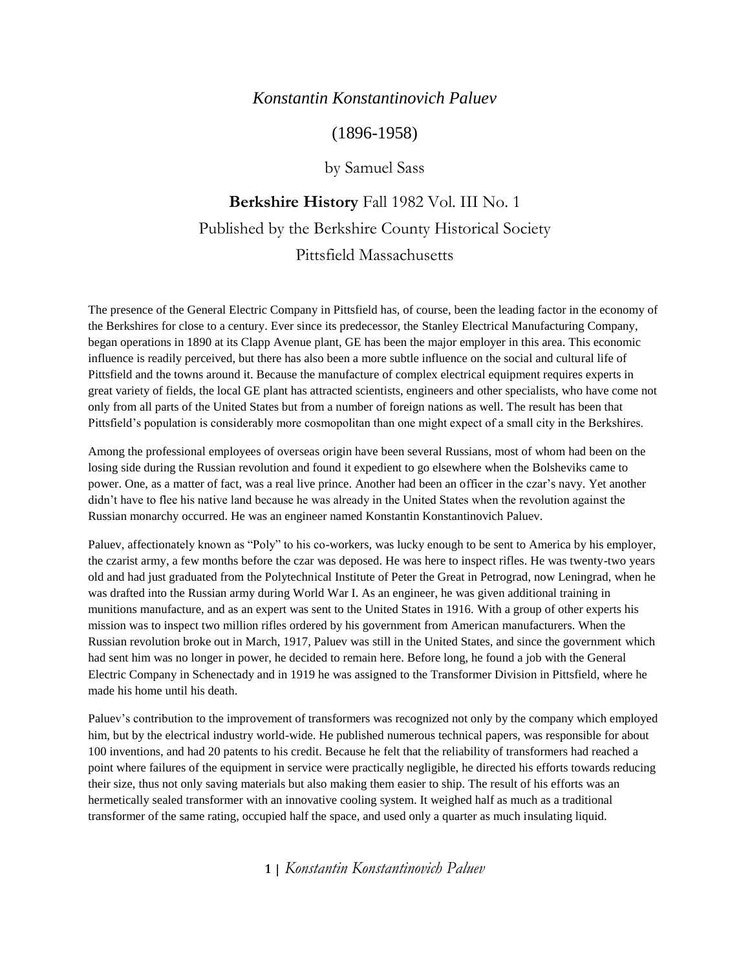#### *Konstantin Konstantinovich Paluev*

## (1896-1958)

## by Samuel Sass

# **Berkshire History** Fall 1982 Vol. III No. 1 Published by the Berkshire County Historical Society Pittsfield Massachusetts

The presence of the General Electric Company in Pittsfield has, of course, been the leading factor in the economy of the Berkshires for close to a century. Ever since its predecessor, the Stanley Electrical Manufacturing Company, began operations in 1890 at its Clapp Avenue plant, GE has been the major employer in this area. This economic influence is readily perceived, but there has also been a more subtle influence on the social and cultural life of Pittsfield and the towns around it. Because the manufacture of complex electrical equipment requires experts in great variety of fields, the local GE plant has attracted scientists, engineers and other specialists, who have come not only from all parts of the United States but from a number of foreign nations as well. The result has been that Pittsfield's population is considerably more cosmopolitan than one might expect of a small city in the Berkshires.

Among the professional employees of overseas origin have been several Russians, most of whom had been on the losing side during the Russian revolution and found it expedient to go elsewhere when the Bolsheviks came to power. One, as a matter of fact, was a real live prince. Another had been an officer in the czar's navy. Yet another didn't have to flee his native land because he was already in the United States when the revolution against the Russian monarchy occurred. He was an engineer named Konstantin Konstantinovich Paluev.

Paluev, affectionately known as "Poly" to his co-workers, was lucky enough to be sent to America by his employer, the czarist army, a few months before the czar was deposed. He was here to inspect rifles. He was twenty-two years old and had just graduated from the Polytechnical Institute of Peter the Great in Petrograd, now Leningrad, when he was drafted into the Russian army during World War I. As an engineer, he was given additional training in munitions manufacture, and as an expert was sent to the United States in 1916. With a group of other experts his mission was to inspect two million rifles ordered by his government from American manufacturers. When the Russian revolution broke out in March, 1917, Paluev was still in the United States, and since the government which had sent him was no longer in power, he decided to remain here. Before long, he found a job with the General Electric Company in Schenectady and in 1919 he was assigned to the Transformer Division in Pittsfield, where he made his home until his death.

Paluev's contribution to the improvement of transformers was recognized not only by the company which employed him, but by the electrical industry world-wide. He published numerous technical papers, was responsible for about 100 inventions, and had 20 patents to his credit. Because he felt that the reliability of transformers had reached a point where failures of the equipment in service were practically negligible, he directed his efforts towards reducing their size, thus not only saving materials but also making them easier to ship. The result of his efforts was an hermetically sealed transformer with an innovative cooling system. It weighed half as much as a traditional transformer of the same rating, occupied half the space, and used only a quarter as much insulating liquid.

**1 |** *Konstantin Konstantinovich Paluev*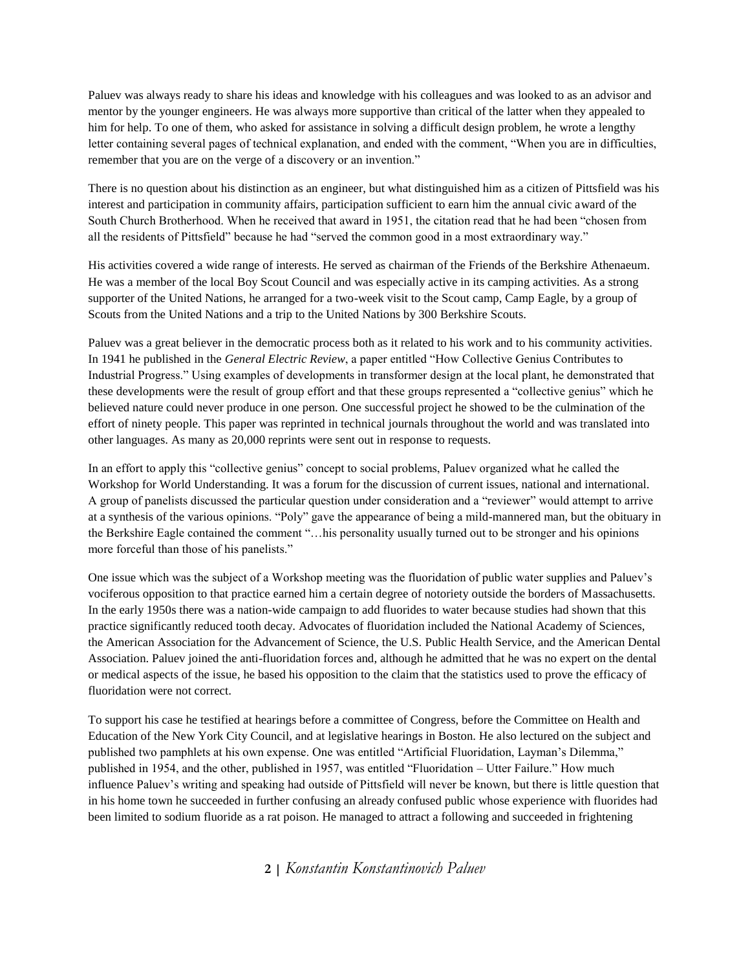Paluev was always ready to share his ideas and knowledge with his colleagues and was looked to as an advisor and mentor by the younger engineers. He was always more supportive than critical of the latter when they appealed to him for help. To one of them, who asked for assistance in solving a difficult design problem, he wrote a lengthy letter containing several pages of technical explanation, and ended with the comment, "When you are in difficulties, remember that you are on the verge of a discovery or an invention."

There is no question about his distinction as an engineer, but what distinguished him as a citizen of Pittsfield was his interest and participation in community affairs, participation sufficient to earn him the annual civic award of the South Church Brotherhood. When he received that award in 1951, the citation read that he had been "chosen from all the residents of Pittsfield" because he had "served the common good in a most extraordinary way."

His activities covered a wide range of interests. He served as chairman of the Friends of the Berkshire Athenaeum. He was a member of the local Boy Scout Council and was especially active in its camping activities. As a strong supporter of the United Nations, he arranged for a two-week visit to the Scout camp, Camp Eagle, by a group of Scouts from the United Nations and a trip to the United Nations by 300 Berkshire Scouts.

Paluev was a great believer in the democratic process both as it related to his work and to his community activities. In 1941 he published in the *General Electric Review*, a paper entitled "How Collective Genius Contributes to Industrial Progress." Using examples of developments in transformer design at the local plant, he demonstrated that these developments were the result of group effort and that these groups represented a "collective genius" which he believed nature could never produce in one person. One successful project he showed to be the culmination of the effort of ninety people. This paper was reprinted in technical journals throughout the world and was translated into other languages. As many as 20,000 reprints were sent out in response to requests.

In an effort to apply this "collective genius" concept to social problems, Paluev organized what he called the Workshop for World Understanding. It was a forum for the discussion of current issues, national and international. A group of panelists discussed the particular question under consideration and a "reviewer" would attempt to arrive at a synthesis of the various opinions. "Poly" gave the appearance of being a mild-mannered man, but the obituary in the Berkshire Eagle contained the comment "…his personality usually turned out to be stronger and his opinions more forceful than those of his panelists."

One issue which was the subject of a Workshop meeting was the fluoridation of public water supplies and Paluev's vociferous opposition to that practice earned him a certain degree of notoriety outside the borders of Massachusetts. In the early 1950s there was a nation-wide campaign to add fluorides to water because studies had shown that this practice significantly reduced tooth decay. Advocates of fluoridation included the National Academy of Sciences, the American Association for the Advancement of Science, the U.S. Public Health Service, and the American Dental Association. Paluev joined the anti-fluoridation forces and, although he admitted that he was no expert on the dental or medical aspects of the issue, he based his opposition to the claim that the statistics used to prove the efficacy of fluoridation were not correct.

To support his case he testified at hearings before a committee of Congress, before the Committee on Health and Education of the New York City Council, and at legislative hearings in Boston. He also lectured on the subject and published two pamphlets at his own expense. One was entitled "Artificial Fluoridation, Layman's Dilemma," published in 1954, and the other, published in 1957, was entitled "Fluoridation – Utter Failure." How much influence Paluev's writing and speaking had outside of Pittsfield will never be known, but there is little question that in his home town he succeeded in further confusing an already confused public whose experience with fluorides had been limited to sodium fluoride as a rat poison. He managed to attract a following and succeeded in frightening

## **2 |** *Konstantin Konstantinovich Paluev*